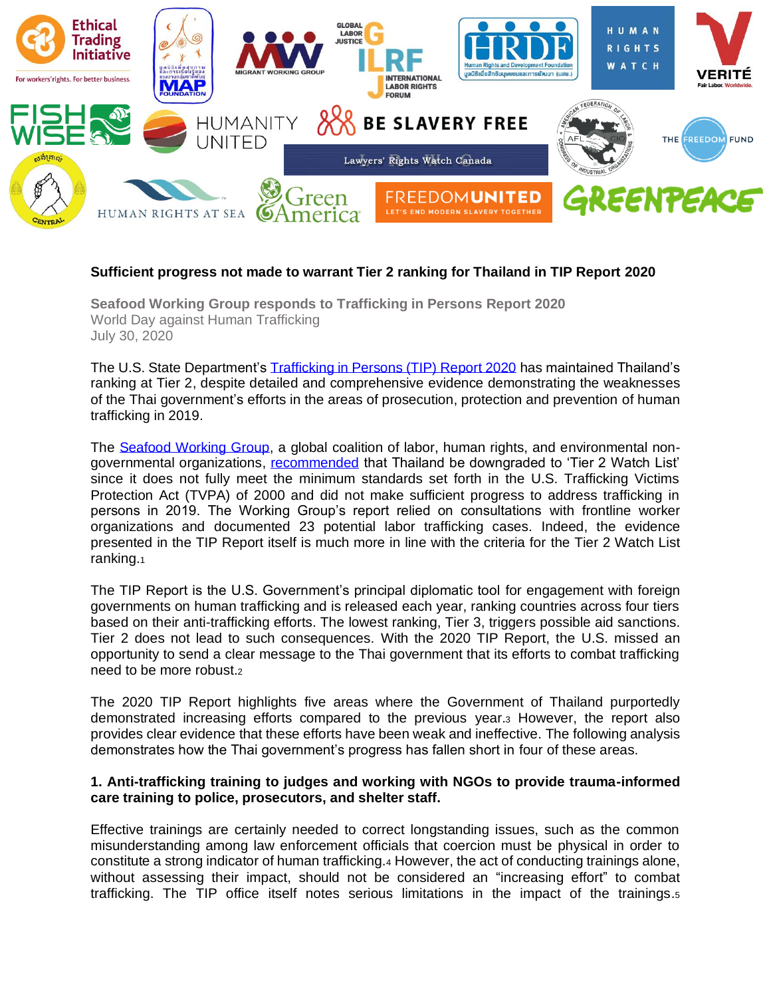

### **Sufficient progress not made to warrant Tier 2 ranking for Thailand in TIP Report 2020**

**Seafood Working Group responds to Trafficking in Persons Report 2020** World Day against Human Trafficking July 30, 2020

The U.S. State Department's [Trafficking in Persons \(TIP\) Report 2020](https://www.state.gov/trafficking-in-persons-report-2020/) has maintained Thailand's ranking at Tier 2, despite detailed and comprehensive evidence demonstrating the weaknesses of the Thai government's efforts in the areas of prosecution, protection and prevention of human trafficking in 2019.

The [Seafood Working Group,](https://laborrights.org/thai-seafood-working-group) a global coalition of labor, human rights, and environmental nongovernmental organizations, [recommended](https://laborrights.org/publications/comments-concerning-ranking-thailand-us-department-state-2020-trafficking-persons) that Thailand be downgraded to 'Tier 2 Watch List' since it does not fully meet the minimum standards set forth in the U.S. Trafficking Victims Protection Act (TVPA) of 2000 and did not make sufficient progress to address trafficking in persons in 2019. The Working Group's report relied on consultations with frontline worker organizations and documented 23 potential labor trafficking cases. Indeed, the evidence presented in the TIP Report itself is much more in line with the criteria for the Tier 2 Watch List ranking.<sup>1</sup>

The TIP Report is the U.S. Government's principal diplomatic tool for engagement with foreign governments on human trafficking and is released each year, ranking countries across four tiers based on their anti-trafficking efforts. The lowest ranking, Tier 3, triggers possible aid sanctions. Tier 2 does not lead to such consequences. With the 2020 TIP Report, the U.S. missed an opportunity to send a clear message to the Thai government that its efforts to combat trafficking need to be more robust.<sup>2</sup>

The 2020 TIP Report highlights five areas where the Government of Thailand purportedly demonstrated increasing efforts compared to the previous year.<sup>3</sup> However, the report also provides clear evidence that these efforts have been weak and ineffective. The following analysis demonstrates how the Thai government's progress has fallen short in four of these areas.

#### **1. Anti-trafficking training to judges and working with NGOs to provide trauma-informed care training to police, prosecutors, and shelter staff.**

Effective trainings are certainly needed to correct longstanding issues, such as the common misunderstanding among law enforcement officials that coercion must be physical in order to constitute a strong indicator of human trafficking.<sup>4</sup> However, the act of conducting trainings alone, without assessing their impact, should not be considered an "increasing effort" to combat trafficking. The TIP office itself notes serious limitations in the impact of the trainings.<sup>5</sup>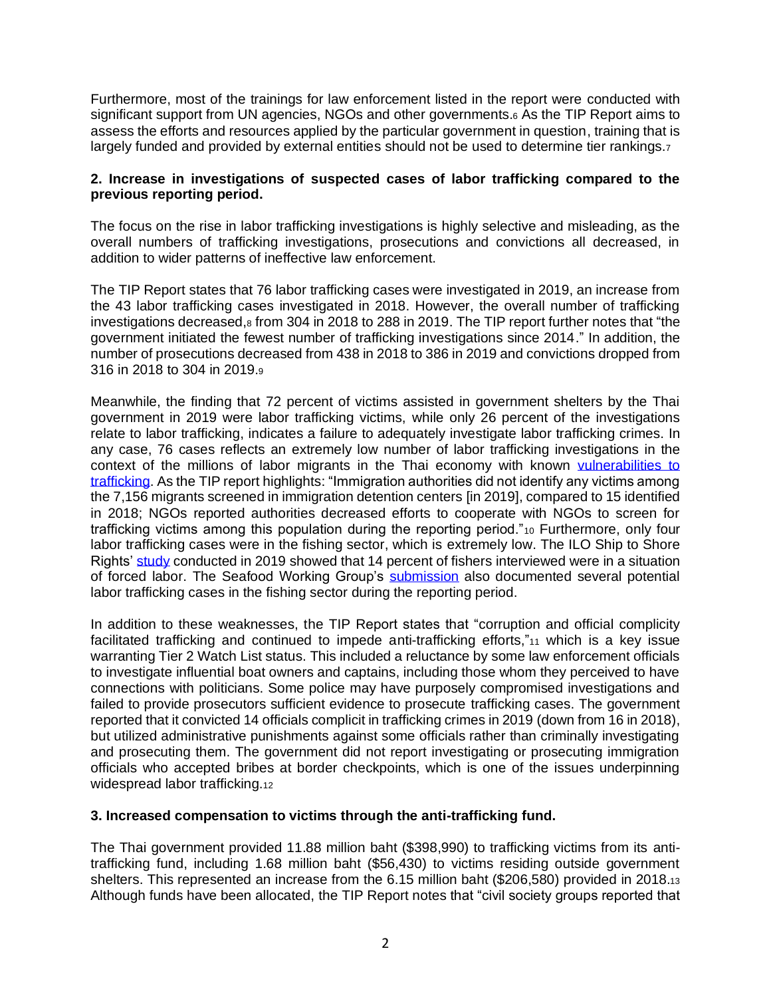Furthermore, most of the trainings for law enforcement listed in the report were conducted with significant support from UN agencies, NGOs and other governments.<sup>6</sup> As the TIP Report aims to assess the efforts and resources applied by the particular government in question, training that is largely funded and provided by external entities should not be used to determine tier rankings.7

### **2. Increase in investigations of suspected cases of labor trafficking compared to the previous reporting period.**

The focus on the rise in labor trafficking investigations is highly selective and misleading, as the overall numbers of trafficking investigations, prosecutions and convictions all decreased, in addition to wider patterns of ineffective law enforcement.

The TIP Report states that 76 labor trafficking cases were investigated in 2019, an increase from the 43 labor trafficking cases investigated in 2018. However, the overall number of trafficking investigations decreased, 8 from 304 in 2018 to 288 in 2019. The TIP report further notes that "the government initiated the fewest number of trafficking investigations since 2014." In addition, the number of prosecutions decreased from 438 in 2018 to 386 in 2019 and convictions dropped from 316 in 2018 to 304 in 2019.<sup>9</sup>

Meanwhile, the finding that 72 percent of victims assisted in government shelters by the Thai government in 2019 were labor trafficking victims, while only 26 percent of the investigations relate to labor trafficking, indicates a failure to adequately investigate labor trafficking crimes. In any case, 76 cases reflects an extremely low number of labor trafficking investigations in the context of the millions of labor migrants in the Thai economy with known [vulnerabilities to](https://thailand.iom.int/labour-migration)  [trafficking.](https://thailand.iom.int/labour-migration) As the TIP report highlights: "Immigration authorities did not identify any victims among the 7,156 migrants screened in immigration detention centers [in 2019], compared to 15 identified in 2018; NGOs reported authorities decreased efforts to cooperate with NGOs to screen for trafficking victims among this population during the reporting period."<sup>10</sup> Furthermore, only four labor trafficking cases were in the fishing sector, which is extremely low. The ILO Ship to Shore Rights' [study](https://www.ilo.org/wcmsp5/groups/public/---asia/---ro-bangkok/documents/publication/wcms_738042.pdf) conducted in 2019 showed that 14 percent of fishers interviewed were in a situation of forced labor. The Seafood Working Group's [submission](https://laborrights.org/sites/default/files/publications/SWG_TIP_Comments_2020_Thailand_Public_Version_1.pdf) also documented several potential labor trafficking cases in the fishing sector during the reporting period.

In addition to these weaknesses, the TIP Report states that "corruption and official complicity facilitated trafficking and continued to impede anti-trafficking efforts,"<sup>11</sup> which is a key issue warranting Tier 2 Watch List status. This included a reluctance by some law enforcement officials to investigate influential boat owners and captains, including those whom they perceived to have connections with politicians. Some police may have purposely compromised investigations and failed to provide prosecutors sufficient evidence to prosecute trafficking cases. The government reported that it convicted 14 officials complicit in trafficking crimes in 2019 (down from 16 in 2018), but utilized administrative punishments against some officials rather than criminally investigating and prosecuting them. The government did not report investigating or prosecuting immigration officials who accepted bribes at border checkpoints, which is one of the issues underpinning widespread labor trafficking.12

## **3. Increased compensation to victims through the anti-trafficking fund.**

The Thai government provided 11.88 million baht (\$398,990) to trafficking victims from its antitrafficking fund, including 1.68 million baht (\$56,430) to victims residing outside government shelters. This represented an increase from the 6.15 million baht (\$206,580) provided in 2018.<sup>13</sup> Although funds have been allocated, the TIP Report notes that "civil society groups reported that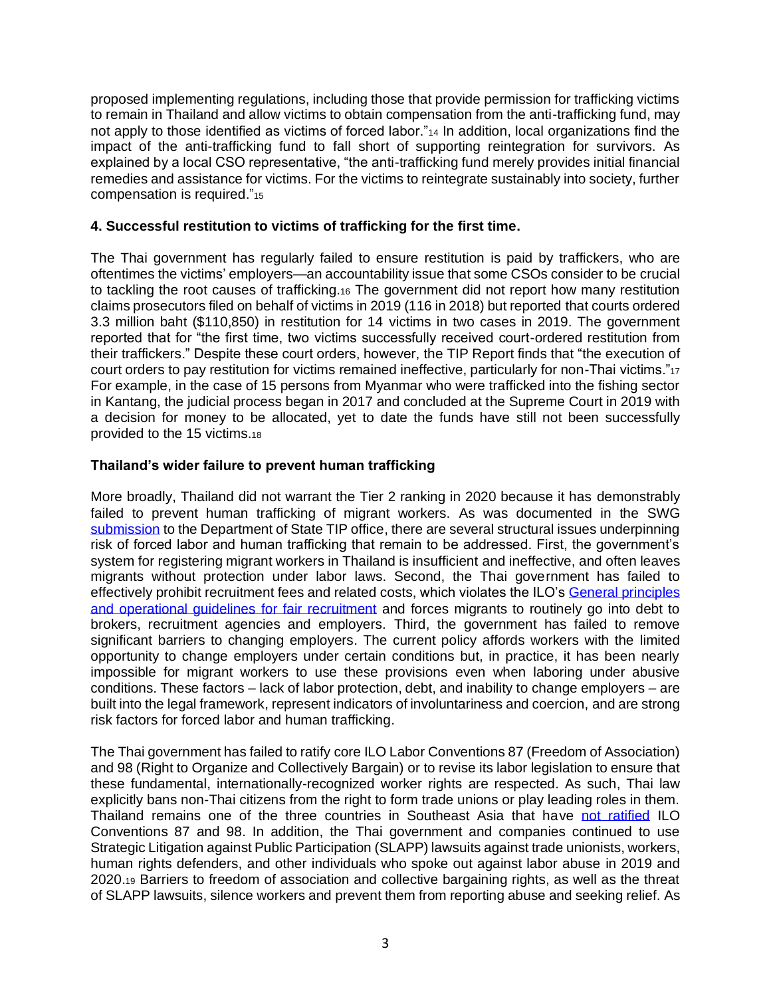proposed implementing regulations, including those that provide permission for trafficking victims to remain in Thailand and allow victims to obtain compensation from the anti-trafficking fund, may not apply to those identified as victims of forced labor."<sup>14</sup> In addition, local organizations find the impact of the anti-trafficking fund to fall short of supporting reintegration for survivors. As explained by a local CSO representative, "the anti-trafficking fund merely provides initial financial remedies and assistance for victims. For the victims to reintegrate sustainably into society, further compensation is required."<sup>15</sup>

# **4. Successful restitution to victims of trafficking for the first time.**

The Thai government has regularly failed to ensure restitution is paid by traffickers, who are oftentimes the victims' employers—an accountability issue that some CSOs consider to be crucial to tackling the root causes of trafficking.<sup>16</sup> The government did not report how many restitution claims prosecutors filed on behalf of victims in 2019 (116 in 2018) but reported that courts ordered 3.3 million baht (\$110,850) in restitution for 14 victims in two cases in 2019. The government reported that for "the first time, two victims successfully received court-ordered restitution from their traffickers." Despite these court orders, however, the TIP Report finds that "the execution of court orders to pay restitution for victims remained ineffective, particularly for non-Thai victims."<sup>17</sup> For example, in the case of 15 persons from Myanmar who were trafficked into the fishing sector in Kantang, the judicial process began in 2017 and concluded at the Supreme Court in 2019 with a decision for money to be allocated, yet to date the funds have still not been successfully provided to the 15 victims.<sup>18</sup>

# **Thailand's wider failure to prevent human trafficking**

More broadly, Thailand did not warrant the Tier 2 ranking in 2020 because it has demonstrably failed to prevent human trafficking of migrant workers. As was documented in the SWG [submission](https://laborrights.org/sites/default/files/publications/SWG_TIP_Comments_2020_Thailand_Public_Version_1.pdf) to the Department of State TIP office, there are several structural issues underpinning risk of forced labor and human trafficking that remain to be addressed. First, the government's system for registering migrant workers in Thailand is insufficient and ineffective, and often leaves migrants without protection under labor laws. Second, the Thai government has failed to effectively prohibit recruitment fees and related costs, which violates the ILO's [General principles](ps://www.ilo.org/global/topics/labour-migration/publications/WCMS_536755/lang--en/index.htm)  [and operational guidelines](ps://www.ilo.org/global/topics/labour-migration/publications/WCMS_536755/lang--en/index.htm) for fair recruitment and forces migrants to routinely go into debt to brokers, recruitment agencies and employers. Third, the government has failed to remove significant barriers to changing employers. The current policy affords workers with the limited opportunity to change employers under certain conditions but, in practice, it has been nearly impossible for migrant workers to use these provisions even when laboring under abusive conditions. These factors – lack of labor protection, debt, and inability to change employers – are built into the legal framework, represent indicators of involuntariness and coercion, and are strong risk factors for forced labor and human trafficking.

The Thai government has failed to ratify core ILO Labor Conventions 87 (Freedom of Association) and 98 (Right to Organize and Collectively Bargain) or to revise its labor legislation to ensure that these fundamental, internationally-recognized worker rights are respected. As such, Thai law explicitly bans non-Thai citizens from the right to form trade unions or play leading roles in them. Thailand remains one of the three countries in Southeast Asia that have [not ratified](https://www.ilo.org/dyn/normlex/%20en/f?p=NORMLEXPUB:11001:0::NO) ILO Conventions 87 and 98. In addition, the Thai government and companies continued to use Strategic Litigation against Public Participation (SLAPP) lawsuits against trade unionists, workers, human rights defenders, and other individuals who spoke out against labor abuse in 2019 and 2020.<sup>19</sup> Barriers to freedom of association and collective bargaining rights, as well as the threat of SLAPP lawsuits, silence workers and prevent them from reporting abuse and seeking relief. As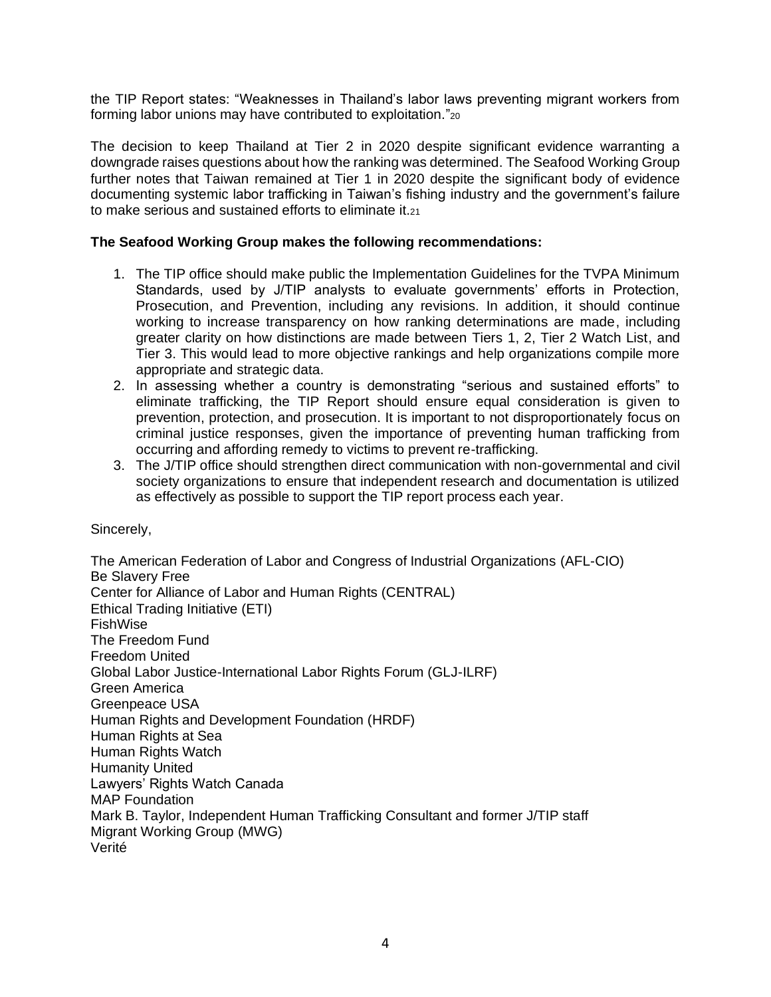the TIP Report states: "Weaknesses in Thailand's labor laws preventing migrant workers from forming labor unions may have contributed to exploitation."<sup>20</sup>

The decision to keep Thailand at Tier 2 in 2020 despite significant evidence warranting a downgrade raises questions about how the ranking was determined. The Seafood Working Group further notes that Taiwan remained at Tier 1 in 2020 despite the significant body of evidence documenting systemic labor trafficking in Taiwan's fishing industry and the government's failure to make serious and sustained efforts to eliminate it.<sub>21</sub>

## **The Seafood Working Group makes the following recommendations:**

- 1. The TIP office should make public the Implementation Guidelines for the TVPA Minimum Standards, used by J/TIP analysts to evaluate governments' efforts in Protection, Prosecution, and Prevention, including any revisions. In addition, it should continue working to increase transparency on how ranking determinations are made, including greater clarity on how distinctions are made between Tiers 1, 2, Tier 2 Watch List, and Tier 3. This would lead to more objective rankings and help organizations compile more appropriate and strategic data.
- 2. In assessing whether a country is demonstrating "serious and sustained efforts" to eliminate trafficking, the TIP Report should ensure equal consideration is given to prevention, protection, and prosecution. It is important to not disproportionately focus on criminal justice responses, given the importance of preventing human trafficking from occurring and affording remedy to victims to prevent re-trafficking.
- 3. The J/TIP office should strengthen direct communication with non-governmental and civil society organizations to ensure that independent research and documentation is utilized as effectively as possible to support the TIP report process each year.

#### Sincerely,

The American Federation of Labor and Congress of Industrial Organizations (AFL-CIO) Be Slavery Free Center for Alliance of Labor and Human Rights (CENTRAL) Ethical Trading Initiative (ETI) FishWise The Freedom Fund Freedom United Global Labor Justice-International Labor Rights Forum (GLJ-ILRF) Green America Greenpeace USA Human Rights and Development Foundation (HRDF) Human Rights at Sea Human Rights Watch Humanity United Lawyers' Rights Watch Canada MAP Foundation Mark B. Taylor, Independent Human Trafficking Consultant and former J/TIP staff Migrant Working Group (MWG) Verité